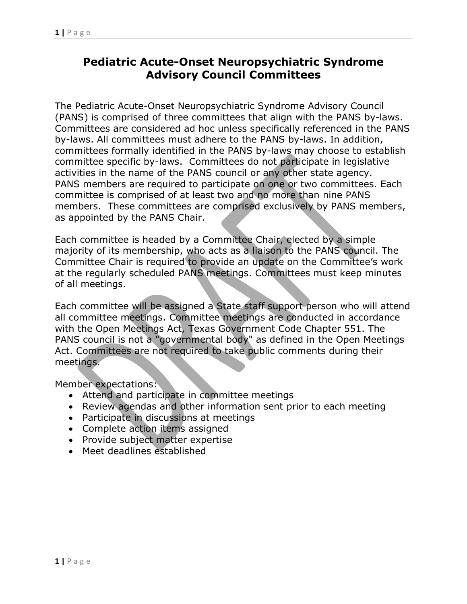## **Pediatric Acute-Onset Neuropsychiatric Syndrome Advisory Council Committees**

The Pediatric Acute-Onset Neuropsychiatric Syndrome Advisory Council (PANS) is comprised of three committees that align with the PANS by-laws. Committees are considered ad hoc unless specifically referenced in the PANS by-laws. All committees must adhere to the PANS by-laws. In addition, committees formally identified in the PANS by-laws may choose to establish committee specific by-laws. Committees do not participate in legislative activities in the name of the PANS council or any other state agency. PANS members are required to participate on one or two committees. Each committee is comprised of at least two and no more than nine PANS members. These committees are comprised exclusively by PANS members, as appointed by the PANS Chair.

Each committee is headed by a Committee Chair, elected by a simple majority of its membership, who acts as a liaison to the PANS council. The Committee Chair is required to provide an update on the Committee's work at the regularly scheduled PANS meetings. Committees must keep minutes of all meetings.

Each committee will be assigned a State staff support person who will attend all committee meetings. Committee meetings are conducted in accordance with the Open Meetings Act, Texas Government Code Chapter 551. The PANS council is not a "governmental body" as defined in the Open Meetings Act. Committees are not required to take public comments during their meetings.

Member expectations:

- Attend and participate in committee meetings
- Review agendas and other information sent prior to each meeting
- Participate in discussions at meetings
- Complete action items assigned
- Provide subject matter expertise
- Meet deadlines established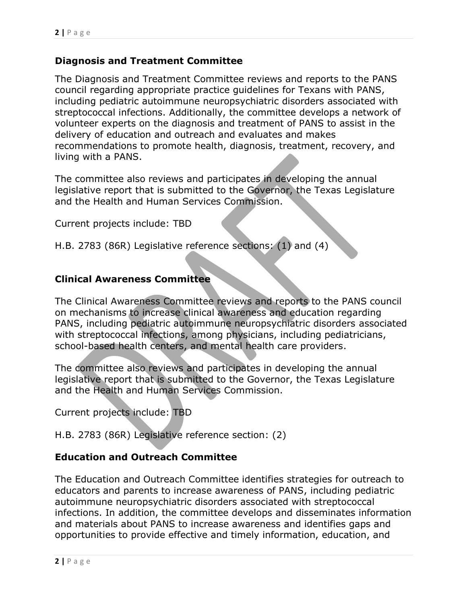## **Diagnosis and Treatment Committee**

The Diagnosis and Treatment Committee reviews and reports to the PANS council regarding appropriate practice guidelines for Texans with PANS, including pediatric autoimmune neuropsychiatric disorders associated with streptococcal infections. Additionally, the committee develops a network of volunteer experts on the diagnosis and treatment of PANS to assist in the delivery of education and outreach and evaluates and makes recommendations to promote health, diagnosis, treatment, recovery, and living with a PANS.

The committee also reviews and participates in developing the annual legislative report that is submitted to the Governor, the Texas Legislature and the Health and Human Services Commission.

Current projects include: TBD

H.B. 2783 (86R) Legislative reference sections: (1) and (4)

## **Clinical Awareness Committee**

The Clinical Awareness Committee reviews and reports to the PANS council on mechanisms to increase clinical awareness and education regarding PANS, including pediatric autoimmune neuropsychiatric disorders associated with streptococcal infections, among physicians, including pediatricians, school-based health centers, and mental health care providers.

The committee also reviews and participates in developing the annual legislative report that is submitted to the Governor, the Texas Legislature and the Health and Human Services Commission.

Current projects include: TBD

H.B. 2783 (86R) Legislative reference section: (2)

## **Education and Outreach Committee**

The Education and Outreach Committee identifies strategies for outreach to educators and parents to increase awareness of PANS, including pediatric autoimmune neuropsychiatric disorders associated with streptococcal infections. In addition, the committee develops and disseminates information and materials about PANS to increase awareness and identifies gaps and opportunities to provide effective and timely information, education, and